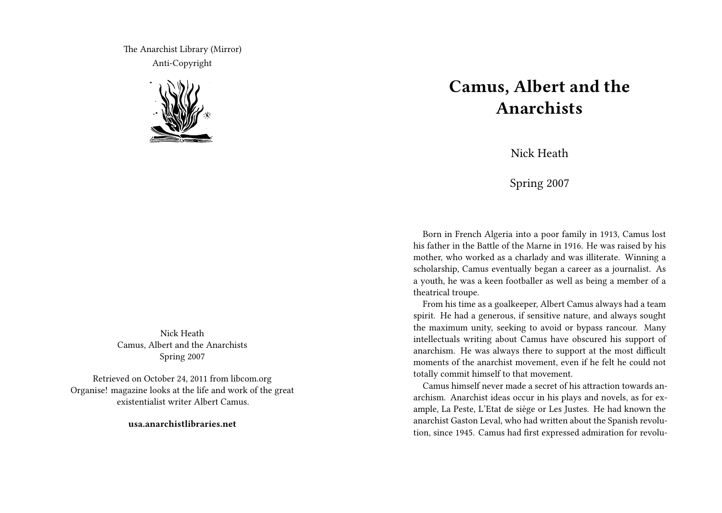The Anarchist Library (Mirror) Anti-Copyright



Nick Heath Camus, Albert and the Anarchists Spring 2007

Retrieved on October 24, 2011 from libcom.org Organise! magazine looks at the life and work of the great existentialist writer Albert Camus.

**usa.anarchistlibraries.net**

## **Camus, Albert and the Anarchists**

Nick Heath

Spring 2007

Born in French Algeria into a poor family in 1913, Camus lost his father in the Battle of the Marne in 1916. He was raised by his mother, who worked as a charlady and was illiterate. Winning a scholarship, Camus eventually began a career as a journalist. As a youth, he was a keen footballer as well as being a member of a theatrical troupe.

From his time as a goalkeeper, Albert Camus always had a team spirit. He had a generous, if sensitive nature, and always sought the maximum unity, seeking to avoid or bypass rancour. Many intellectuals writing about Camus have obscured his support of anarchism. He was always there to support at the most difficult moments of the anarchist movement, even if he felt he could not totally commit himself to that movement.

Camus himself never made a secret of his attraction towards anarchism. Anarchist ideas occur in his plays and novels, as for example, La Peste, L'Etat de siège or Les Justes. He had known the anarchist Gaston Leval, who had written about the Spanish revolution, since 1945. Camus had first expressed admiration for revolu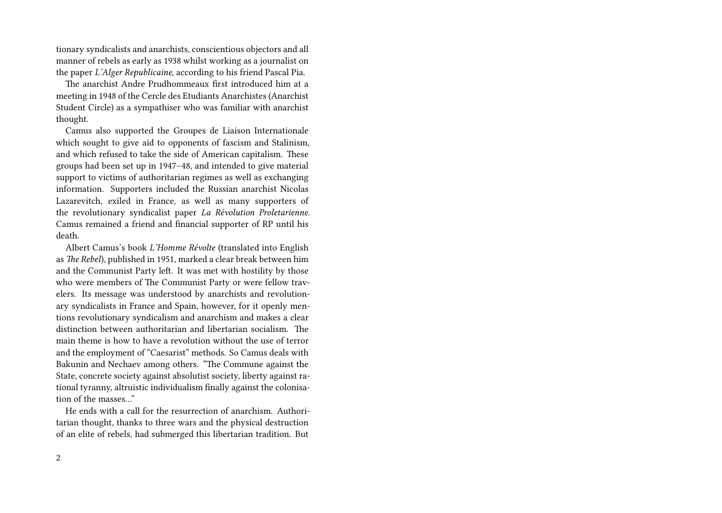tionary syndicalists and anarchists, conscientious objectors and all manner of rebels as early as 1938 whilst working as a journalist on the paper *L'Alger Republicaine*, according to his friend Pascal Pia.

The anarchist Andre Prudhommeaux first introduced him at a meeting in 1948 of the Cercle des Etudiants Anarchistes (Anarchist Student Circle) as a sympathiser who was familiar with anarchist thought.

Camus also supported the Groupes de Liaison Internationale which sought to give aid to opponents of fascism and Stalinism. and which refused to take the side of American capitalism. These groups had been set up in 1947–48, and intended to give material support to victims of authoritarian regimes as well as exchanging information. Supporters included the Russian anarchist Nicolas Lazarevitch, exiled in France, as well as many supporters of the revolutionary syndicalist paper *La Révolution Proletarienne*. Camus remained a friend and financial supporter of RP until his death.

Albert Camus's book *L'Homme Révolte* (translated into English as *The Rebel*), published in 1951, marked a clear break between him and the Communist Party left. It was met with hostility by those who were members of The Communist Party or were fellow travelers. Its message was understood by anarchists and revolutionary syndicalists in France and Spain, however, for it openly mentions revolutionary syndicalism and anarchism and makes a clear distinction between authoritarian and libertarian socialism. The main theme is how to have a revolution without the use of terror and the employment of "Caesarist" methods. So Camus deals with Bakunin and Nechaev among others. "The Commune against the State, concrete society against absolutist society, liberty against rational tyranny, altruistic individualism finally against the colonisation of the masses…"

He ends with a call for the resurrection of anarchism. Authoritarian thought, thanks to three wars and the physical destruction of an elite of rebels, had submerged this libertarian tradition. But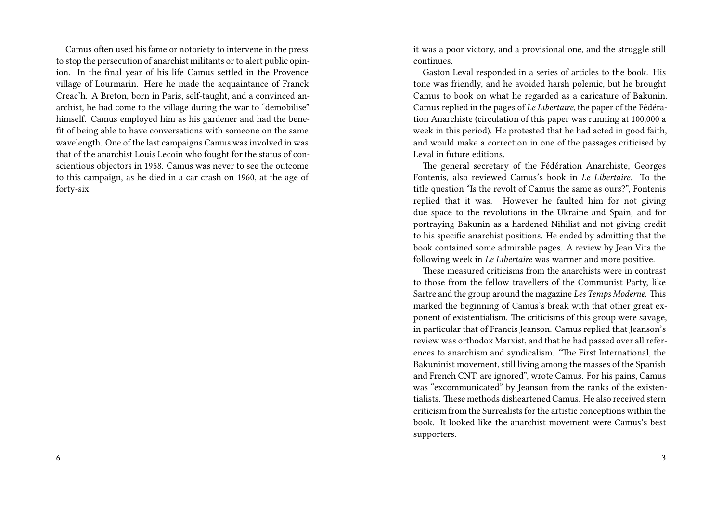Camus often used his fame or notoriety to intervene in the press to stop the persecution of anarchist militants or to alert public opinion. In the final year of his life Camus settled in the Provence village of Lourmarin. Here he made the acquaintance of Franck Creac'h. A Breton, born in Paris, self-taught, and a convinced anarchist, he had come to the village during the war to "demobilise" himself. Camus employed him as his gardener and had the benefit of being able to have conversations with someone on the same wavelength. One of the last campaigns Camus was involved in was that of the anarchist Louis Lecoin who fought for the status of conscientious objectors in 1958. Camus was never to see the outcome to this campaign, as he died in a car crash on 1960, at the age of forty-six.

it was a poor victory, and a provisional one, and the struggle still continues.

Gaston Leval responded in a series of articles to the book. His tone was friendly, and he avoided harsh polemic, but he brought Camus to book on what he regarded as a caricature of Bakunin. Camus replied in the pages of *Le Libertaire*, the paper of the Fédération Anarchiste (circulation of this paper was running at 100,000 a week in this period). He protested that he had acted in good faith, and would make a correction in one of the passages criticised by Leval in future editions.

The general secretary of the Fédération Anarchiste, Georges Fontenis, also reviewed Camus's book in *Le Libertaire*. To the title question "Is the revolt of Camus the same as ours?", Fontenis replied that it was. However he faulted him for not giving due space to the revolutions in the Ukraine and Spain, and for portraying Bakunin as a hardened Nihilist and not giving credit to his specific anarchist positions. He ended by admitting that the book contained some admirable pages. A review by Jean Vita the following week in *Le Libertaire* was warmer and more positive.

These measured criticisms from the anarchists were in contrast to those from the fellow travellers of the Communist Party, like Sartre and the group around the magazine *Les Temps Moderne*. This marked the beginning of Camus's break with that other great exponent of existentialism. The criticisms of this group were savage, in particular that of Francis Jeanson. Camus replied that Jeanson's review was orthodox Marxist, and that he had passed over all references to anarchism and syndicalism. "The First International, the Bakuninist movement, still living among the masses of the Spanish and French CNT, are ignored", wrote Camus. For his pains, Camus was "excommunicated" by Jeanson from the ranks of the existentialists. These methods disheartened Camus. He also received stern criticism from the Surrealists for the artistic conceptions within the book. It looked like the anarchist movement were Camus's best supporters.